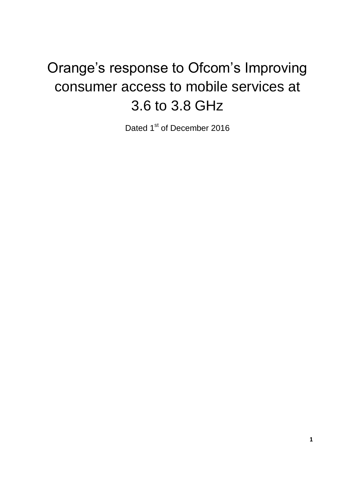## Orange's response to Ofcom's Improving consumer access to mobile services at 3.6 to 3.8 GHz

Dated 1<sup>st</sup> of December 2016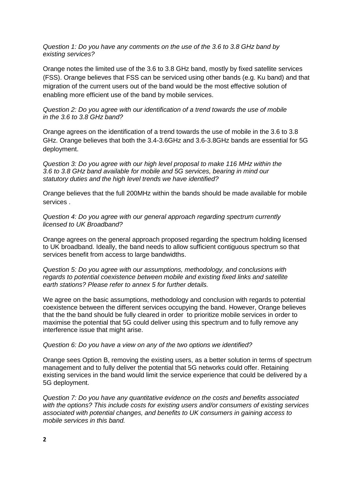*Question 1: Do you have any comments on the use of the 3.6 to 3.8 GHz band by existing services?*

Orange notes the limited use of the 3.6 to 3.8 GHz band, mostly by fixed satellite services (FSS). Orange believes that FSS can be serviced using other bands (e.g. Ku band) and that migration of the current users out of the band would be the most effective solution of enabling more efficient use of the band by mobile services.

*Question 2: Do you agree with our identification of a trend towards the use of mobile in the 3.6 to 3.8 GHz band?*

Orange agrees on the identification of a trend towards the use of mobile in the 3.6 to 3.8 GHz. Orange believes that both the 3.4-3.6GHz and 3.6-3.8GHz bands are essential for 5G deployment.

*Question 3: Do you agree with our high level proposal to make 116 MHz within the 3.6 to 3.8 GHz band available for mobile and 5G services, bearing in mind our statutory duties and the high level trends we have identified?*

Orange believes that the full 200MHz within the bands should be made available for mobile services .

*Question 4: Do you agree with our general approach regarding spectrum currently licensed to UK Broadband?*

Orange agrees on the general approach proposed regarding the spectrum holding licensed to UK broadband. Ideally, the band needs to allow sufficient contiguous spectrum so that services benefit from access to large bandwidths.

*Question 5: Do you agree with our assumptions, methodology, and conclusions with regards to potential coexistence between mobile and existing fixed links and satellite earth stations? Please refer to annex 5 for further details.*

We agree on the basic assumptions, methodology and conclusion with regards to potential coexistence between the different services occupying the band. However, Orange believes that the the band should be fully cleared in order to prioritize mobile services in order to maximise the potential that 5G could deliver using this spectrum and to fully remove any interference issue that might arise.

*Question 6: Do you have a view on any of the two options we identified?*

Orange sees Option B, removing the existing users, as a better solution in terms of spectrum management and to fully deliver the potential that 5G networks could offer. Retaining existing services in the band would limit the service experience that could be delivered by a 5G deployment.

*Question 7: Do you have any quantitative evidence on the costs and benefits associated with the options? This include costs for existing users and/or consumers of existing services associated with potential changes, and benefits to UK consumers in gaining access to mobile services in this band.*